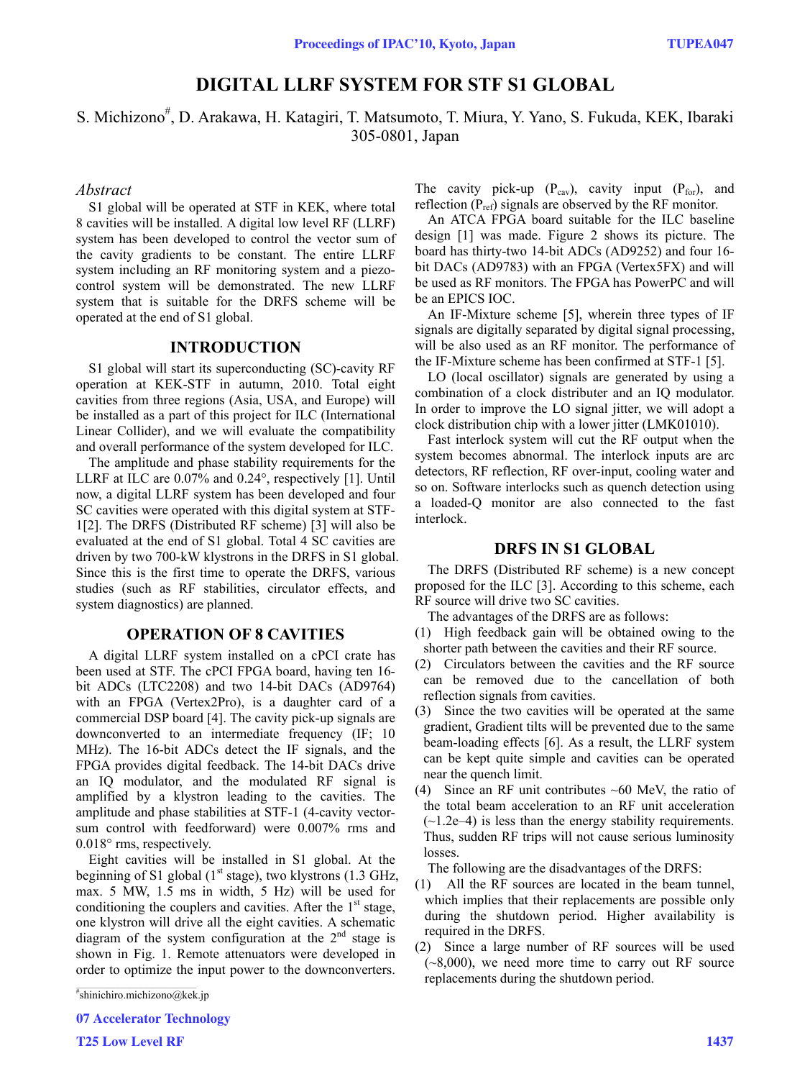# **DIGITAL LLRF SYSTEM FOR STF S1 GLOBAL**

S. Michizono<sup>#</sup>, D. Arakawa, H. Katagiri, T. Matsumoto, T. Miura, Y. Yano, S. Fukuda, KEK, Ibaraki 305-0801, Japan

#### *Abstract*

S1 global will be operated at STF in KEK, where total 8 cavities will be installed. A digital low level RF (LLRF) system has been developed to control the vector sum of the cavity gradients to be constant. The entire LLRF system including an RF monitoring system and a piezocontrol system will be demonstrated. The new LLRF system that is suitable for the DRFS scheme will be operated at the end of S1 global.

### **INTRODUCTION**

S1 global will start its superconducting (SC)-cavity RF operation at KEK-STF in autumn, 2010. Total eight cavities from three regions (Asia, USA, and Europe) will be installed as a part of this project for ILC (International Linear Collider), and we will evaluate the compatibility and overall performance of the system developed for ILC.

The amplitude and phase stability requirements for the LLRF at ILC are 0.07% and 0.24°, respectively [1]. Until now, a digital LLRF system has been developed and four SC cavities were operated with this digital system at STF-1[2]. The DRFS (Distributed RF scheme) [3] will also be evaluated at the end of S1 global. Total 4 SC cavities are driven by two 700-kW klystrons in the DRFS in S1 global. Since this is the first time to operate the DRFS, various studies (such as RF stabilities, circulator effects, and system diagnostics) are planned.

### **OPERATION OF 8 CAVITIES**

A digital LLRF system installed on a cPCI crate has been used at STF. The cPCI FPGA board, having ten 16 bit ADCs (LTC2208) and two 14-bit DACs (AD9764) with an FPGA (Vertex2Pro), is a daughter card of a commercial DSP board [4]. The cavity pick-up signals are downconverted to an intermediate frequency (IF; 10 MHz). The 16-bit ADCs detect the IF signals, and the FPGA provides digital feedback. The 14-bit DACs drive an IQ modulator, and the modulated RF signal is amplified by a klystron leading to the cavities. The amplitude and phase stabilities at STF-1 (4-cavity vectorsum control with feedforward) were 0.007% rms and 0.018° rms, respectively.

Eight cavities will be installed in S1 global. At the beginning of S1 global  $(1<sup>st</sup> stage)$ , two klystrons  $(1.3 \text{ GHz})$ , max. 5 MW, 1.5 ms in width, 5 Hz) will be used for conditioning the couplers and cavities. After the  $1<sup>st</sup>$  stage, one klystron will drive all the eight cavities. A schematic diagram of the system configuration at the  $2<sup>nd</sup>$  stage is shown in Fig. 1. Remote attenuators were developed in order to optimize the input power to the downconverters.

# shinichiro.michizono@kek.jp

07 Accelerator Technology

The cavity pick-up  $(P_{cav})$ , cavity input  $(P_{for})$ , and reflection  $(P_{ref})$  signals are observed by the RF monitor.

An ATCA FPGA board suitable for the ILC baseline design [1] was made. Figure 2 shows its picture. The board has thirty-two 14-bit ADCs (AD9252) and four 16 bit DACs (AD9783) with an FPGA (Vertex5FX) and will be used as RF monitors. The FPGA has PowerPC and will be an EPICS IOC.

An IF-Mixture scheme [5], wherein three types of IF signals are digitally separated by digital signal processing, will be also used as an RF monitor. The performance of the IF-Mixture scheme has been confirmed at STF-1 [5].

LO (local oscillator) signals are generated by using a combination of a clock distributer and an IQ modulator. In order to improve the LO signal jitter, we will adopt a clock distribution chip with a lower jitter (LMK01010).

Fast interlock system will cut the RF output when the system becomes abnormal. The interlock inputs are arc detectors, RF reflection, RF over-input, cooling water and so on. Software interlocks such as quench detection using a loaded-Q monitor are also connected to the fast interlock.

#### **DRFS IN S1 GLOBAL**

The DRFS (Distributed RF scheme) is a new concept proposed for the ILC [3]. According to this scheme, each RF source will drive two SC cavities.

The advantages of the DRFS are as follows:

- (1) High feedback gain will be obtained owing to the shorter path between the cavities and their RF source.
- (2) Circulators between the cavities and the RF source can be removed due to the cancellation of both reflection signals from cavities.
- (3) Since the two cavities will be operated at the same gradient, Gradient tilts will be prevented due to the same beam-loading effects [6]. As a result, the LLRF system can be kept quite simple and cavities can be operated near the quench limit.
- (4) Since an RF unit contributes  $~60$  MeV, the ratio of the total beam acceleration to an RF unit acceleration  $(-1.2e-4)$  is less than the energy stability requirements. Thus, sudden RF trips will not cause serious luminosity losses.

The following are the disadvantages of the DRFS:

- (1) All the RF sources are located in the beam tunnel, which implies that their replacements are possible only during the shutdown period. Higher availability is required in the DRFS.
- (2) Since a large number of RF sources will be used  $(-8,000)$ , we need more time to carry out RF source replacements during the shutdown period.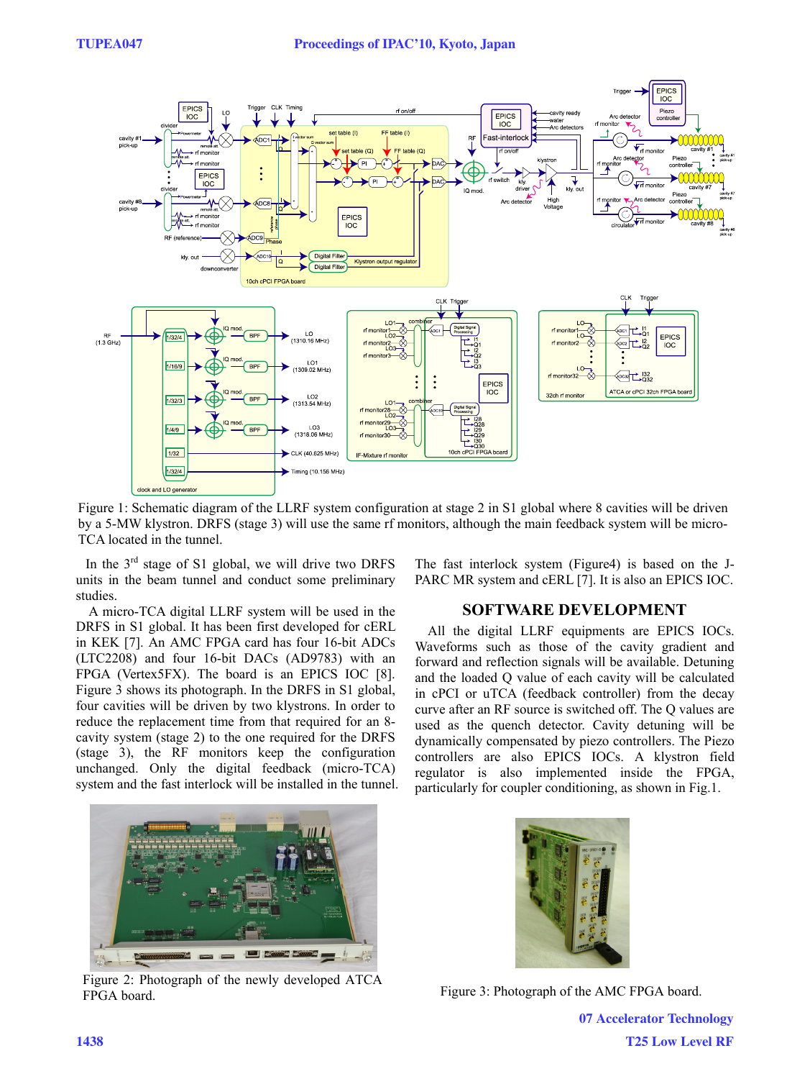

Figure 1: Schematic diagram of the LLRF system configuration at stage 2 in S1 global where 8 cavities will be driven by a 5-MW klystron. DRFS (stage 3) will use the same rf monitors, although the main feedback system will be micro-TCA located in the tunnel.

In the  $3<sup>rd</sup>$  stage of S1 global, we will drive two DRFS units in the beam tunnel and conduct some preliminary studies.

A micro-TCA digital LLRF system will be used in the DRFS in S1 global. It has been first developed for cERL in KEK [7]. An AMC FPGA card has four 16-bit ADCs (LTC2208) and four 16-bit DACs (AD9783) with an FPGA (Vertex5FX). The board is an EPICS IOC [8]. Figure 3 shows its photograph. In the DRFS in S1 global, four cavities will be driven by two klystrons. In order to reduce the replacement time from that required for an 8 cavity system (stage 2) to the one required for the DRFS (stage 3), the RF monitors keep the configuration unchanged. Only the digital feedback (micro-TCA) system and the fast interlock will be installed in the tunnel.



Figure 2: Photograph of the newly developed ATCA FPGA board. Figure 3: Photograph of the AMC FPGA board.

The fast interlock system (Figure4) is based on the J-PARC MR system and cERL [7]. It is also an EPICS IOC.

# **SOFTWARE DEVELOPMENT**

All the digital LLRF equipments are EPICS IOCs. Waveforms such as those of the cavity gradient and forward and reflection signals will be available. Detuning and the loaded Q value of each cavity will be calculated in cPCI or uTCA (feedback controller) from the decay curve after an RF source is switched off. The Q values are used as the quench detector. Cavity detuning will be dynamically compensated by piezo controllers. The Piezo controllers are also EPICS IOCs. A klystron field regulator is also implemented inside the FPGA, particularly for coupler conditioning, as shown in Fig.1.



07 Accelerator Technology T25 Low Level RF